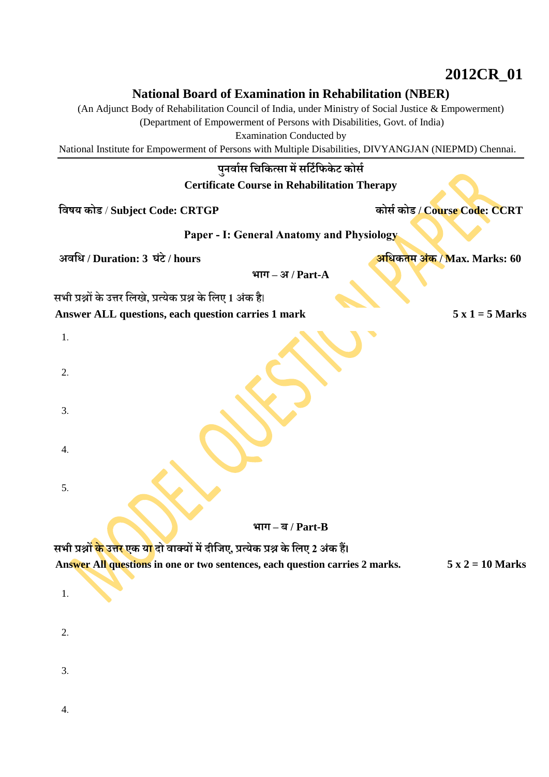## **2012CR\_01**

## **National Board of Examination in Rehabilitation (NBER)**

(An Adjunct Body of Rehabilitation Council of India, under Ministry of Social Justice & Empowerment)

(Department of Empowerment of Persons with Disabilities, Govt. of India)

Examination Conducted by

National Institute for Empowerment of Persons with Multiple Disabilities, DIVYANGJAN (NIEPMD) Chennai.

## **पुनर्वास चिचित्सव मेंसचटाचििेट िोसा**

**Certificate Course in Rehabilitation Therapy**

**चर्षय िोड** / **Subject Code: CRTGP िोसा िोड / Course Code: CCRT**

**Paper - I: General Anatomy and Physiology**

**अर्चि / Duration: 3 घंटे/ hours अचिितम अंि / Max. Marks: 60**

**भवग – अ / Part-A**

**सभी प्रश्नों िे उत्तर चिखे, प्रत्येि प्रश्न िेचिए 1 अंि है**।

**Answer ALL questions, each question carries 1 mark 5 x 1 = 5 Marks**

| 1. |                                                                                                                 |
|----|-----------------------------------------------------------------------------------------------------------------|
| 2. |                                                                                                                 |
| 3. |                                                                                                                 |
| 4. |                                                                                                                 |
| 5. |                                                                                                                 |
|    | भाग $-$ ब/Part-B                                                                                                |
|    | सभी प्रश्नों <mark>के उत्तर ए</mark> क य <mark>ा</mark> दो वाक्यों में दीजिए, प्रत्येक प्रश्न के लिए 2 अंक हैं। |

**Answer All questions in one or two sentences, each question carries 2 marks. 5 x 2 = 10 Marks**

 $2<sup>2</sup>$ 

1.

3.

4.